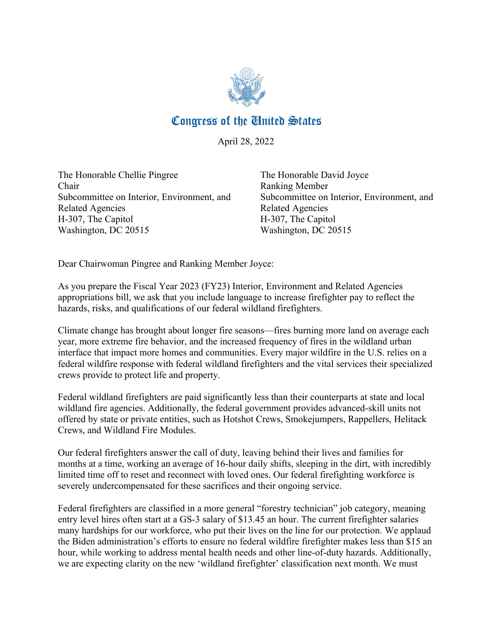

## Congress of the United States

April 28, 2022

The Honorable Chellie Pingree Chair Subcommittee on Interior, Environment, and Related Agencies H-307, The Capitol Washington, DC 20515

The Honorable David Joyce Ranking Member Subcommittee on Interior, Environment, and Related Agencies H-307, The Capitol Washington, DC 20515

Dear Chairwoman Pingree and Ranking Member Joyce:

As you prepare the Fiscal Year 2023 (FY23) Interior, Environment and Related Agencies appropriations bill, we ask that you include language to increase firefighter pay to reflect the hazards, risks, and qualifications of our federal wildland firefighters.

Climate change has brought about longer fire seasons—fires burning more land on average each year, more extreme fire behavior, and the increased frequency of fires in the wildland urban interface that impact more homes and communities. Every major wildfire in the U.S. relies on a federal wildfire response with federal wildland firefighters and the vital services their specialized crews provide to protect life and property.

Federal wildland firefighters are paid significantly less than their counterparts at state and local wildland fire agencies. Additionally, the federal government provides advanced-skill units not offered by state or private entities, such as Hotshot Crews, Smokejumpers, Rappellers, Helitack Crews, and Wildland Fire Modules.

Our federal firefighters answer the call of duty, leaving behind their lives and families for months at a time, working an average of 16-hour daily shifts, sleeping in the dirt, with incredibly limited time off to reset and reconnect with loved ones. Our federal firefighting workforce is severely undercompensated for these sacrifices and their ongoing service.

Federal firefighters are classified in a more general "forestry technician" job category, meaning entry level hires often start at a GS-3 salary of \$13.45 an hour. The current firefighter salaries many hardships for our workforce, who put their lives on the line for our protection. We applaud the Biden administration's efforts to ensure no federal wildfire firefighter makes less than \$15 an hour, while working to address mental health needs and other line-of-duty hazards. Additionally, we are expecting clarity on the new 'wildland firefighter' classification next month. We must